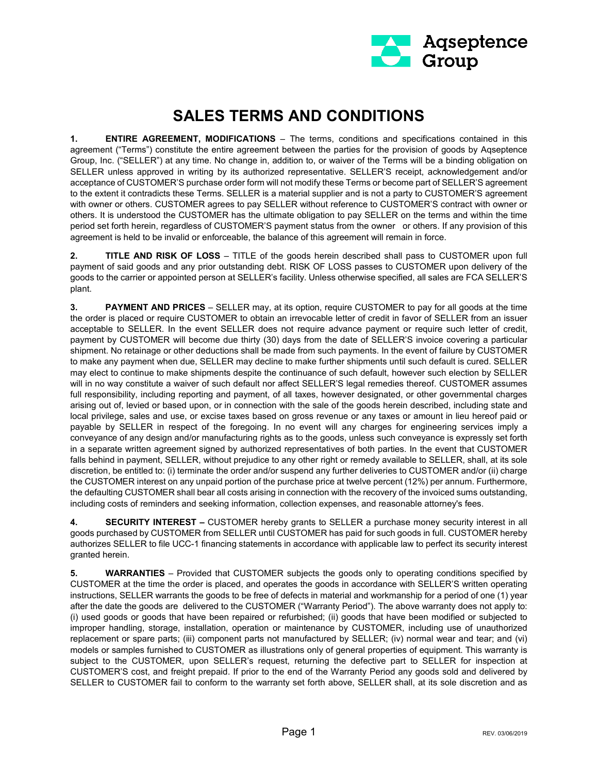

## **SALES TERMS AND CONDITIONS**

**1. ENTIRE AGREEMENT, MODIFICATIONS** – The terms, conditions and specifications contained in this agreement ("Terms") constitute the entire agreement between the parties for the provision of goods by Aqseptence Group, Inc. ("SELLER") at any time. No change in, addition to, or waiver of the Terms will be a binding obligation on SELLER unless approved in writing by its authorized representative. SELLER'S receipt, acknowledgement and/or acceptance of CUSTOMER'S purchase order form will not modify these Terms or become part of SELLER'S agreement to the extent it contradicts these Terms. SELLER is a material supplier and is not a party to CUSTOMER'S agreement with owner or others. CUSTOMER agrees to pay SELLER without reference to CUSTOMER'S contract with owner or others. It is understood the CUSTOMER has the ultimate obligation to pay SELLER on the terms and within the time period set forth herein, regardless of CUSTOMER'S payment status from the owner or others. If any provision of this agreement is held to be invalid or enforceable, the balance of this agreement will remain in force.

**2. TITLE AND RISK OF LOSS** – TITLE of the goods herein described shall pass to CUSTOMER upon full payment of said goods and any prior outstanding debt. RISK OF LOSS passes to CUSTOMER upon delivery of the goods to the carrier or appointed person at SELLER's facility. Unless otherwise specified, all sales are FCA SELLER'S plant.

**3. PAYMENT AND PRICES** – SELLER may, at its option, require CUSTOMER to pay for all goods at the time the order is placed or require CUSTOMER to obtain an irrevocable letter of credit in favor of SELLER from an issuer acceptable to SELLER. In the event SELLER does not require advance payment or require such letter of credit, payment by CUSTOMER will become due thirty (30) days from the date of SELLER'S invoice covering a particular shipment. No retainage or other deductions shall be made from such payments. In the event of failure by CUSTOMER to make any payment when due, SELLER may decline to make further shipments until such default is cured. SELLER may elect to continue to make shipments despite the continuance of such default, however such election by SELLER will in no way constitute a waiver of such default nor affect SELLER'S legal remedies thereof. CUSTOMER assumes full responsibility, including reporting and payment, of all taxes, however designated, or other governmental charges arising out of, levied or based upon, or in connection with the sale of the goods herein described, including state and local privilege, sales and use, or excise taxes based on gross revenue or any taxes or amount in lieu hereof paid or payable by SELLER in respect of the foregoing. In no event will any charges for engineering services imply a conveyance of any design and/or manufacturing rights as to the goods, unless such conveyance is expressly set forth in a separate written agreement signed by authorized representatives of both parties. In the event that CUSTOMER falls behind in payment, SELLER, without prejudice to any other right or remedy available to SELLER, shall, at its sole discretion, be entitled to: (i) terminate the order and/or suspend any further deliveries to CUSTOMER and/or (ii) charge the CUSTOMER interest on any unpaid portion of the purchase price at twelve percent (12%) per annum. Furthermore, the defaulting CUSTOMER shall bear all costs arising in connection with the recovery of the invoiced sums outstanding, including costs of reminders and seeking information, collection expenses, and reasonable attorney's fees.

**4. SECURITY INTEREST –** CUSTOMER hereby grants to SELLER a purchase money security interest in all goods purchased by CUSTOMER from SELLER until CUSTOMER has paid for such goods in full. CUSTOMER hereby authorizes SELLER to file UCC-1 financing statements in accordance with applicable law to perfect its security interest granted herein.

**5. WARRANTIES** – Provided that CUSTOMER subjects the goods only to operating conditions specified by CUSTOMER at the time the order is placed, and operates the goods in accordance with SELLER'S written operating instructions, SELLER warrants the goods to be free of defects in material and workmanship for a period of one (1) year after the date the goods are delivered to the CUSTOMER ("Warranty Period"). The above warranty does not apply to: (i) used goods or goods that have been repaired or refurbished; (ii) goods that have been modified or subjected to improper handling, storage, installation, operation or maintenance by CUSTOMER, including use of unauthorized replacement or spare parts; (iii) component parts not manufactured by SELLER; (iv) normal wear and tear; and (vi) models or samples furnished to CUSTOMER as illustrations only of general properties of equipment. This warranty is subject to the CUSTOMER, upon SELLER's request, returning the defective part to SELLER for inspection at CUSTOMER'S cost, and freight prepaid. If prior to the end of the Warranty Period any goods sold and delivered by SELLER to CUSTOMER fail to conform to the warranty set forth above, SELLER shall, at its sole discretion and as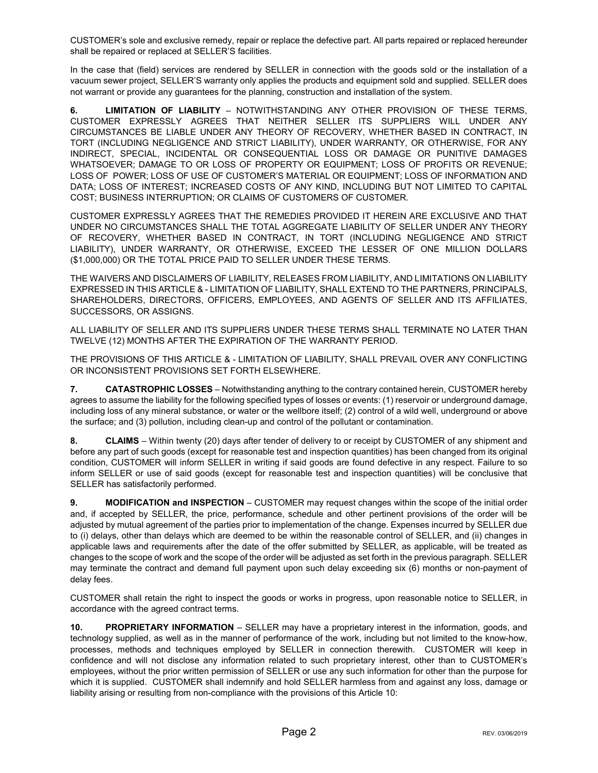CUSTOMER's sole and exclusive remedy, repair or replace the defective part. All parts repaired or replaced hereunder shall be repaired or replaced at SELLER'S facilities.

In the case that (field) services are rendered by SELLER in connection with the goods sold or the installation of a vacuum sewer project, SELLER'S warranty only applies the products and equipment sold and supplied. SELLER does not warrant or provide any guarantees for the planning, construction and installation of the system.

**6. LIMITATION OF LIABILITY** – NOTWITHSTANDING ANY OTHER PROVISION OF THESE TERMS, CUSTOMER EXPRESSLY AGREES THAT NEITHER SELLER ITS SUPPLIERS WILL UNDER ANY CIRCUMSTANCES BE LIABLE UNDER ANY THEORY OF RECOVERY, WHETHER BASED IN CONTRACT, IN TORT (INCLUDING NEGLIGENCE AND STRICT LIABILITY), UNDER WARRANTY, OR OTHERWISE, FOR ANY INDIRECT, SPECIAL, INCIDENTAL OR CONSEQUENTIAL LOSS OR DAMAGE OR PUNITIVE DAMAGES WHATSOEVER; DAMAGE TO OR LOSS OF PROPERTY OR EQUIPMENT; LOSS OF PROFITS OR REVENUE; LOSS OF POWER; LOSS OF USE OF CUSTOMER'S MATERIAL OR EQUIPMENT; LOSS OF INFORMATION AND DATA; LOSS OF INTEREST; INCREASED COSTS OF ANY KIND, INCLUDING BUT NOT LIMITED TO CAPITAL COST; BUSINESS INTERRUPTION; OR CLAIMS OF CUSTOMERS OF CUSTOMER.

CUSTOMER EXPRESSLY AGREES THAT THE REMEDIES PROVIDED IT HEREIN ARE EXCLUSIVE AND THAT UNDER NO CIRCUMSTANCES SHALL THE TOTAL AGGREGATE LIABILITY OF SELLER UNDER ANY THEORY OF RECOVERY, WHETHER BASED IN CONTRACT, IN TORT (INCLUDING NEGLIGENCE AND STRICT LIABILITY), UNDER WARRANTY, OR OTHERWISE, EXCEED THE LESSER OF ONE MILLION DOLLARS (\$1,000,000) OR THE TOTAL PRICE PAID TO SELLER UNDER THESE TERMS.

THE WAIVERS AND DISCLAIMERS OF LIABILITY, RELEASES FROM LIABILITY, AND LIMITATIONS ON LIABILITY EXPRESSED IN THIS ARTICLE & - LIMITATION OF LIABILITY, SHALL EXTEND TO THE PARTNERS, PRINCIPALS, SHAREHOLDERS, DIRECTORS, OFFICERS, EMPLOYEES, AND AGENTS OF SELLER AND ITS AFFILIATES, SUCCESSORS, OR ASSIGNS.

ALL LIABILITY OF SELLER AND ITS SUPPLIERS UNDER THESE TERMS SHALL TERMINATE NO LATER THAN TWELVE (12) MONTHS AFTER THE EXPIRATION OF THE WARRANTY PERIOD.

THE PROVISIONS OF THIS ARTICLE & - LIMITATION OF LIABILITY, SHALL PREVAIL OVER ANY CONFLICTING OR INCONSISTENT PROVISIONS SET FORTH ELSEWHERE.

**7. CATASTROPHIC LOSSES** – Notwithstanding anything to the contrary contained herein, CUSTOMER hereby agrees to assume the liability for the following specified types of losses or events: (1) reservoir or underground damage, including loss of any mineral substance, or water or the wellbore itself; (2) control of a wild well, underground or above the surface; and (3) pollution, including clean-up and control of the pollutant or contamination.

**8. CLAIMS** – Within twenty (20) days after tender of delivery to or receipt by CUSTOMER of any shipment and before any part of such goods (except for reasonable test and inspection quantities) has been changed from its original condition, CUSTOMER will inform SELLER in writing if said goods are found defective in any respect. Failure to so inform SELLER or use of said goods (except for reasonable test and inspection quantities) will be conclusive that SELLER has satisfactorily performed.

**9. MODIFICATION and INSPECTION** – CUSTOMER may request changes within the scope of the initial order and, if accepted by SELLER, the price, performance, schedule and other pertinent provisions of the order will be adjusted by mutual agreement of the parties prior to implementation of the change. Expenses incurred by SELLER due to (i) delays, other than delays which are deemed to be within the reasonable control of SELLER, and (ii) changes in applicable laws and requirements after the date of the offer submitted by SELLER, as applicable, will be treated as changes to the scope of work and the scope of the order will be adjusted as set forth in the previous paragraph. SELLER may terminate the contract and demand full payment upon such delay exceeding six (6) months or non-payment of delay fees.

CUSTOMER shall retain the right to inspect the goods or works in progress, upon reasonable notice to SELLER, in accordance with the agreed contract terms.

**10. PROPRIETARY INFORMATION** – SELLER may have a proprietary interest in the information, goods, and technology supplied, as well as in the manner of performance of the work, including but not limited to the know-how, processes, methods and techniques employed by SELLER in connection therewith. CUSTOMER will keep in confidence and will not disclose any information related to such proprietary interest, other than to CUSTOMER's employees, without the prior written permission of SELLER or use any such information for other than the purpose for which it is supplied. CUSTOMER shall indemnify and hold SELLER harmless from and against any loss, damage or liability arising or resulting from non-compliance with the provisions of this Article 10: